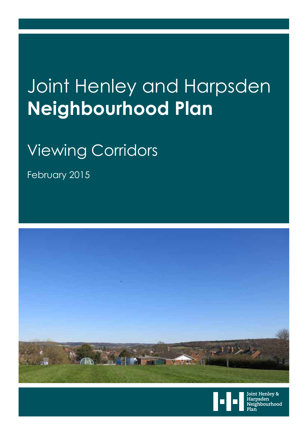## Joint Henley and Harpsden **Neighbourhood Plan**

## Viewing Corridors

February 2015





Joint Henley & Harpsden -----------<br>Neighbourhood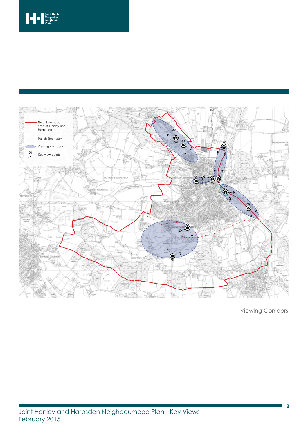

Viewing Corridors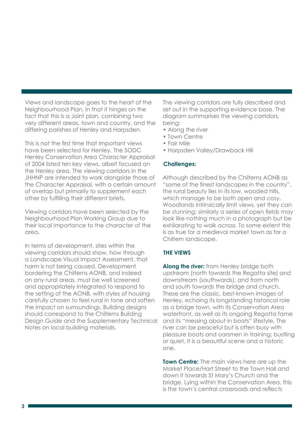Views and landscape goes to the heart of the Neighbourhood Plan, in that it hinges on the fact that this is a Joint plan, combining two very different areas, town and country, and the differing parishes of Henley and Harpsden.

This is not the first time that important views have been selected for Henley. The SODC Henley Conservation Area Character Appraisal of 2004 listed ten key views, albeit focused on the Henley area. The viewing corridors in the JHHNP are intended to work alongside those of the Character Appraisal, with a certain amount of overlap but primarily to supplement each other by fulfilling their different briefs.

Viewing corridors have been selected by the Neighbourhood Plan Working Group due to their local importance to the character of the area.

In terms of development, sites within the viewing corridors should show, how through a Landscape Visual Impact Assessment, that harm is not being caused. Development bordering the Chilterns AONB, and indeed on any rural areas, must be well screened and appropriately integrated to respond to the setting of the AONB, with styles of housing carefully chosen to feel rural in tone and soften the impact on surroundings. Building designs should correspond to the Chilterns Building Design Guide and the Supplementary Technical Notes on local building materials.

The viewing corridors are fully described and set out in the supporting evidence base. The diagram summarises the viewing corridors, being:

- Along the river
- Town Centre
- Fair Mile
- Harpsden Valley/Drawback Hill

## **Challenges:**

Although described by the Chilterns AONB as "some of the finest landscapes in the country", the rural beauty lies in its low, wooded hills, which manage to be both open and cosy. Woodlands intrinsically limit views, yet they can be stunning; similarly a series of open fields may look like nothing much in a photograph but be exhilarating to walk across. To some extent this is as true for a medieval market town as for a Chiltern landscape.

## **THE VIEWS**

**Along the river:** from Henley bridge both upstream (north towards the Regatta site) and downstream (southwards); and from north and south towards the bridge and church. These are the classic, best-known images of Henley, echoing its longstanding historical role as a bridge town, with its Conservation Area waterfront, as well as its ongoing Regatta fame and its "messing about in boats" lifestyle. The river can be peaceful but is often busy with pleasure boats and oarsmen in training; bustling or quiet, it is a beautiful scene and a historic one.

**Town Centre:** The main views here are up the Market Place/Hart Street to the Town Hall and down it towards St Mary's Church and the bridge. Lying within the Conservation Area, this is the town's central crossroads and reflects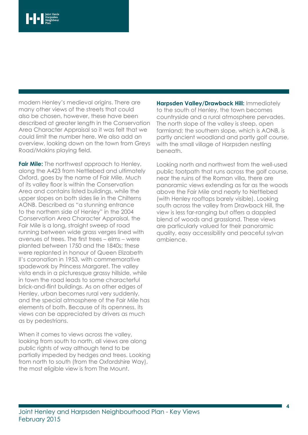modern Henley's medieval origins. There are many other views of the streets that could also be chosen, however, these have been described at greater length in the Conservation Area Character Appraisal so it was felt that we could limit the number here. We also add an overview, looking down on the town from Greys Road/Makins playing field.

**Fair Mile:** The northwest approach to Henley, along the A423 from Nettlebed and ultimately Oxford, goes by the name of Fair Mile. Much of its valley floor is within the Conservation Area and contains listed buildings, while the upper slopes on both sides lie in the Chilterns AONB. Described as "a stunning entrance to the northern side of Henley" in the 2004 Conservation Area Character Appraisal, the Fair Mile is a long, straight sweep of road running between wide grass verges lined with avenues of trees. The first trees – elms – were planted between 1750 and the 1840s; these were replanted in honour of Queen Elizabeth II's coronation in 1953, with commemorative spadework by Princess Margaret. The valley vista ends in a picturesque grassy hillside, while in town the road leads to some characterful brick-and-flint buildings. As on other edges of Henley, urban becomes rural very suddenly, and the special atmosphere of the Fair Mile has elements of both. Because of its openness, its views can be appreciated by drivers as much as by pedestrians.

When it comes to views across the valley, looking from south to north, all views are along public rights of way although tend to be partially impeded by hedges and trees. Looking from north to south (from the Oxfordshire Way), the most eligible view is from The Mount.

**Harpsden Valley/Drawback Hill:** Immediately to the south of Henley, the town becomes countryside and a rural atmosphere pervades. The north slope of the valley is steep, open farmland; the southern slope, which is AONB, is partly ancient woodland and partly golf course, with the small village of Harpsden nestling beneath.

Looking north and northwest from the well-used public footpath that runs across the golf course, near the ruins of the Roman villa, there are panoramic views extending as far as the woods above the Fair Mile and nearly to Nettlebed (with Henley rooftops barely visible). Looking south across the valley from Drawback Hill, the view is less far-ranging but offers a dappled blend of woods and grassland. These views are particularly valued for their panoramic quality, easy accessibility and peaceful sylvan ambience.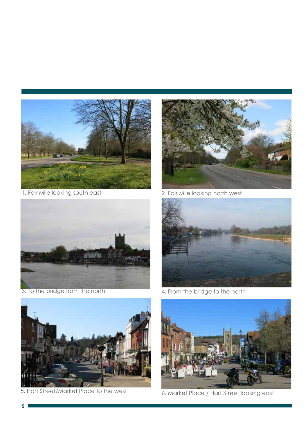

1. Fair Mile looking south east



3. To the bridge from the north



2. Fair Mile looking north west



4. From the bridge to the north



5. Hart Street/Market Place to the west



6. Market Place / Hart Street looking east